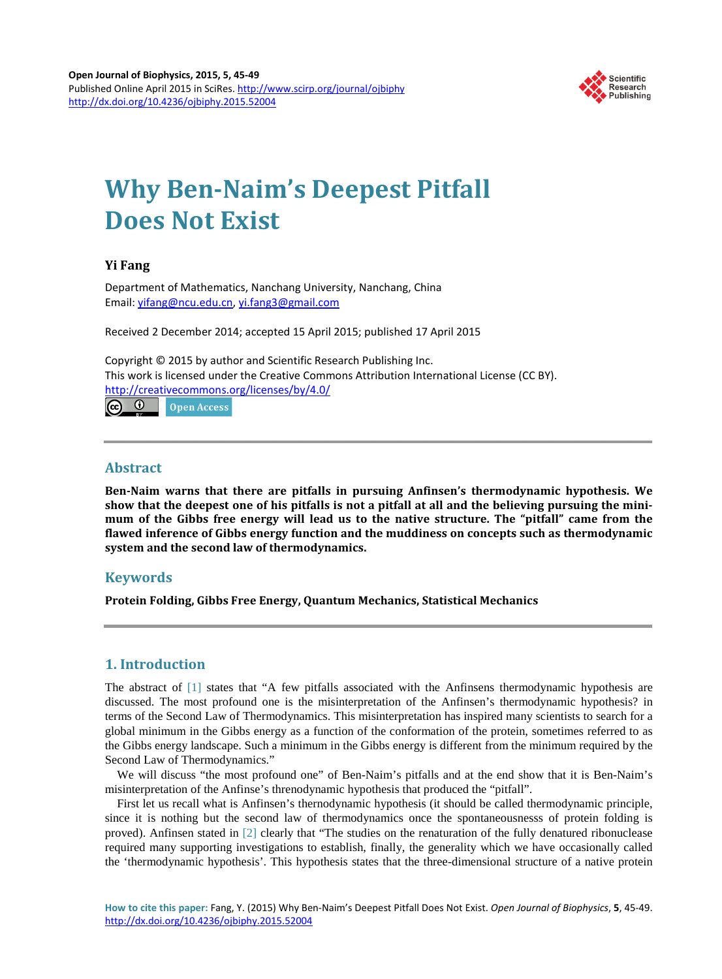

# **Why Ben-Naim's Deepest Pitfall Does Not Exist**

# **Yi Fang**

Department of Mathematics, Nanchang University, Nanchang, China Email: [yifang@ncu.edu.cn,](mailto:yifang@ncu.edu.cn) [yi.fang3@gmail.com](mailto:yi.fang3@gmail.com)

Received 2 December 2014; accepted 15 April 2015; published 17 April 2015

Copyright © 2015 by author and Scientific Research Publishing Inc. This work is licensed under the Creative Commons Attribution International License (CC BY). <http://creativecommons.org/licenses/by/4.0/>  $\boxed{6}$ 

Open Access

### **Abstract**

**Ben-Naim warns that there are pitfalls in pursuing Anfinsen's thermodynamic hypothesis. We show that the deepest one of his pitfalls is not a pitfall at all and the believing pursuing the minimum of the Gibbs free energy will lead us to the native structure. The "pitfall" came from the flawed inference of Gibbs energy function and the muddiness on concepts such as thermodynamic system and the second law of thermodynamics.**

# **Keywords**

**Protein Folding, Gibbs Free Energy, Quantum Mechanics, Statistical Mechanics**

# **1. Introduction**

The abstract of [\[1\]](#page-4-0) states that "A few pitfalls associated with the Anfinsens thermodynamic hypothesis are discussed. The most profound one is the misinterpretation of the Anfinsen's thermodynamic hypothesis? in terms of the Second Law of Thermodynamics. This misinterpretation has inspired many scientists to search for a global minimum in the Gibbs energy as a function of the conformation of the protein, sometimes referred to as the Gibbs energy landscape. Such a minimum in the Gibbs energy is different from the minimum required by the Second Law of Thermodynamics."

We will discuss "the most profound one" of Ben-Naim's pitfalls and at the end show that it is Ben-Naim's misinterpretation of the Anfinse's threnodynamic hypothesis that produced the "pitfall".

First let us recall what is Anfinsen's thernodynamic hypothesis (it should be called thermodynamic principle, since it is nothing but the second law of thermodynamics once the spontaneousnesss of protein folding is proved). Anfinsen stated in [\[2\]](#page-4-1) clearly that "The studies on the renaturation of the fully denatured ribonuclease required many supporting investigations to establish, finally, the generality which we have occasionally called the 'thermodynamic hypothesis'. This hypothesis states that the three-dimensional structure of a native protein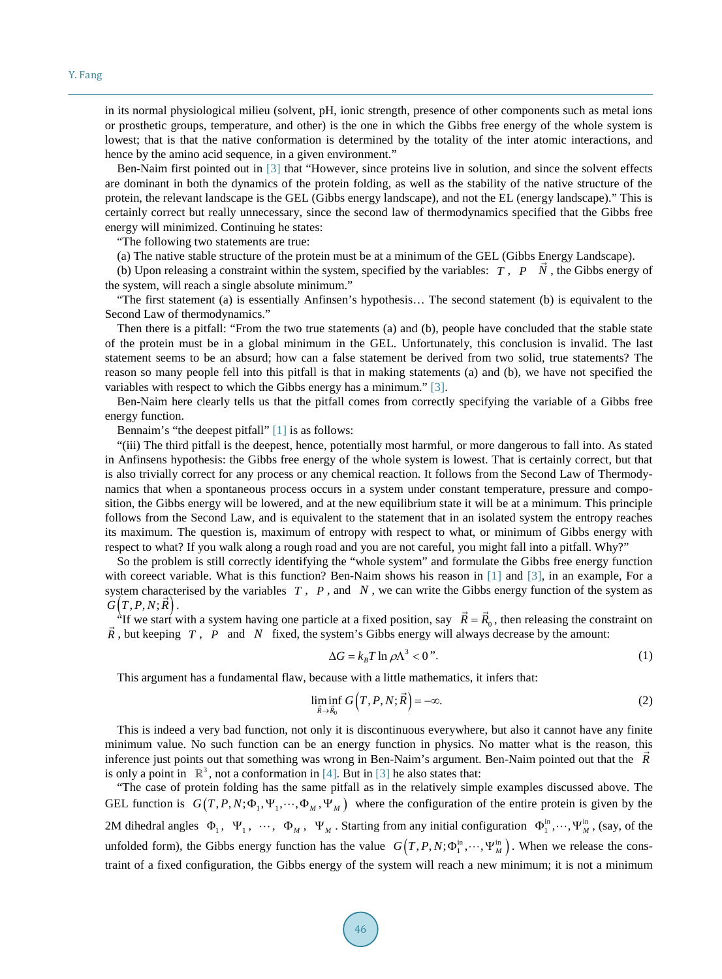in its normal physiological milieu (solvent, pH, ionic strength, presence of other components such as metal ions or prosthetic groups, temperature, and other) is the one in which the Gibbs free energy of the whole system is lowest; that is that the native conformation is determined by the totality of the inter atomic interactions, and hence by the amino acid sequence, in a given environment."

Ben-Naim first pointed out in [\[3\]](#page-4-2) that "However, since proteins live in solution, and since the solvent effects are dominant in both the dynamics of the protein folding, as well as the stability of the native structure of the protein, the relevant landscape is the GEL (Gibbs energy landscape), and not the EL (energy landscape)." This is certainly correct but really unnecessary, since the second law of thermodynamics specified that the Gibbs free energy will minimized. Continuing he states:

"The following two statements are true:

(a) The native stable structure of the protein must be at a minimum of the GEL (Gibbs Energy Landscape).

(b) Upon releasing a constraint within the system, specified by the variables: *T* , *P N* , the Gibbs energy of the system, will reach a single absolute minimum."

"The first statement (a) is essentially Anfinsen's hypothesis… The second statement (b) is equivalent to the Second Law of thermodynamics."

Then there is a pitfall: "From the two true statements (a) and (b), people have concluded that the stable state of the protein must be in a global minimum in the GEL. Unfortunately, this conclusion is invalid. The last statement seems to be an absurd; how can a false statement be derived from two solid, true statements? The reason so many people fell into this pitfall is that in making statements (a) and (b), we have not specified the variables with respect to which the Gibbs energy has a minimum." [\[3\].](#page-4-2)

Ben-Naim here clearly tells us that the pitfall comes from correctly specifying the variable of a Gibbs free energy function.

Bennaim's "the deepest pitfall" [\[1\]](#page-4-0) is as follows:

"(iii) The third pitfall is the deepest, hence, potentially most harmful, or more dangerous to fall into. As stated in Anfinsens hypothesis: the Gibbs free energy of the whole system is lowest. That is certainly correct, but that is also trivially correct for any process or any chemical reaction. It follows from the Second Law of Thermodynamics that when a spontaneous process occurs in a system under constant temperature, pressure and composition, the Gibbs energy will be lowered, and at the new equilibrium state it will be at a minimum. This principle follows from the Second Law, and is equivalent to the statement that in an isolated system the entropy reaches its maximum. The question is, maximum of entropy with respect to what, or minimum of Gibbs energy with respect to what? If you walk along a rough road and you are not careful, you might fall into a pitfall. Why?"

So the problem is still correctly identifying the "whole system" and formulate the Gibbs free energy function with coreect variable. What is this function? Ben-Naim shows his reason in [\[1\]](#page-4-0) and [\[3\],](#page-4-2) in an example, For a system characterised by the variables *T* , *P* , and *N* , we can write the Gibbs energy function of the system as system characters  $G(T, P, N; \vec{R})$ .

 $(I, P, N; K)$ .<br>"If we start with a system having one particle at a fixed position, say  $\vec{R} = \vec{R}_0$ , then releasing the constraint on *R* If we start with a system having one particle at a fixed position, say  $\kappa = \kappa_0$ , then releasing the cons<br> $\vec{R}$ , but keeping *T*, *P* and *N* fixed, the system's Gibbs energy will always decrease by the amount:

$$
\Delta G = k_B T \ln \rho \Lambda^3 < 0 \text{''}.\tag{1}
$$

This argument has a fundamental flaw, because with a little mathematics, it infers that:

$$
\liminf_{\vec{R}\to\vec{R}_0} G\Big(T,P,N;\vec{R}\Big) = -\infty.
$$
\n(2)

This is indeed a very bad function, not only it is discontinuous everywhere, but also it cannot have any finite minimum value. No such function can be an energy function in physics. No matter what is the reason, this inference just points out that something was wrong in Ben-Naim's argument. Ben-Naim pointed out that the  $\vec{R}$ is only a point in  $\mathbb{R}^3$ , not a conformation in [\[4\].](#page-4-3) But in [\[3\]](#page-4-2) he also states that:

"The case of protein folding has the same pitfall as in the relatively simple examples discussed above. The GEL function is  $G(T, P, N; \Phi_1, \Psi_1, \cdots, \Phi_M, \Psi_M)$  where the configuration of the entire protein is given by the 2M dihedral angles  $\Phi_1$ ,  $\Psi_1$ ,  $\cdots$ ,  $\Phi_M$ ,  $\Psi_M$ . Starting from any initial configuration  $\Phi_1^{\text{in}}, \cdots, \Psi_M^{\text{in}}$ , (say, of the unfolded form), the Gibbs energy function has the value  $G(T, P, N; \Phi_1^{\text{in}}, \dots, \Psi_M^{\text{in}})$ . When we release the constraint of a fixed configuration, the Gibbs energy of the system will reach a new minimum; it is not a minimum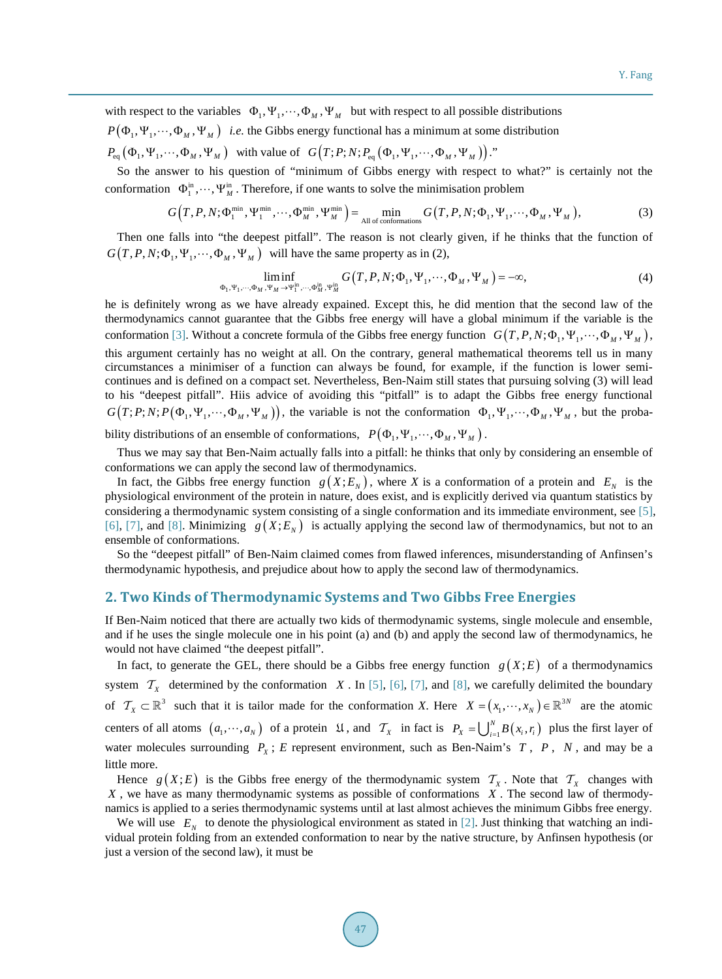with respect to the variables  $\Phi_1, \Psi_1, \cdots, \Phi_M, \Psi_M$  but with respect to all possible distributions

 $P(\Phi_1, \Psi_1, \cdots, \Phi_M, \Psi_M)$  *i.e.* the Gibbs energy functional has a minimum at some distribution

 $P_{\text{eq}}(\Phi_1, \Psi_1, \cdots, \Phi_M, \Psi_M)$  with value of  $G(T; P; N; P_{\text{eq}}(\Phi_1, \Psi_1, \cdots, \Phi_M, \Psi_M))$ ."

So the answer to his question of "minimum of Gibbs energy with respect to what?" is certainly not the conformation  $\Phi_1^{\text{in}}, \dots, \Psi_M^{\text{in}}$ . Therefore, if one wants to solve the minimisation problem

$$
G(T, P, N; \Phi_1^{\min}, \Psi_1^{\min}, \cdots, \Phi_M^{\min}, \Psi_M^{\min}) = \min_{\text{All of conformations}} G(T, P, N; \Phi_1, \Psi_1, \cdots, \Phi_M, \Psi_M),
$$
(3)

Then one falls into "the deepest pitfall". The reason is not clearly given, if he thinks that the function of  $G(T, P, N; \Phi_1, \Psi_1, \cdots, \Phi_M, \Psi_M)$  will have the same property as in (2),

$$
\liminf_{\Phi_1, \Psi_1, \dots, \Phi_M, \Psi_M \to \Psi_1^{\text{in}}, \dots, \Phi_M^{\text{in}}, \Psi_M^{\text{in}}} G(T, P, N; \Phi_1, \Psi_1, \dots, \Phi_M, \Psi_M) = -\infty,
$$
\n(4)

he is definitely wrong as we have already expained. Except this, he did mention that the second law of the thermodynamics cannot guarantee that the Gibbs free energy will have a global minimum if the variable is the conformation [\[3\].](#page-4-2) Without a concrete formula of the Gibbs free energy function  $G(T, P, N; \Phi_1, \Psi_1, \cdots, \Phi_M, \Psi_M)$ , this argument certainly has no weight at all. On the contrary, general mathematical theorems tell us in many circumstances a minimiser of a function can always be found, for example, if the function is lower semicontinues and is defined on a compact set. Nevertheless, Ben-Naim still states that pursuing solving (3) will lead to his "deepest pitfall". Hiis advice of avoiding this "pitfall" is to adapt the Gibbs free energy functional  $G(T; P; N; P(\Phi_1, \Psi_1, \cdots, \Phi_M, \Psi_M))$ , the variable is not the conformation  $\Phi_1, \Psi_1, \cdots, \Phi_M, \Psi_M$ , but the probability distributions of an ensemble of conformations,  $P(\Phi_1, \Psi_1, \cdots, \Phi_M, \Psi_M)$ .

Thus we may say that Ben-Naim actually falls into a pitfall: he thinks that only by considering an ensemble of conformations we can apply the second law of thermodynamics.

In fact, the Gibbs free energy function  $g(X; E_N)$ , where *X* is a conformation of a protein and  $E_N$  is the physiological environment of the protein in nature, does exist, and is explicitly derived via quantum statistics by considering a thermodynamic system consisting of a single conformation and its immediate environment, see [\[5\],](#page-4-4) [\[6\],](#page-4-5) [\[7\],](#page-4-6) and [\[8\].](#page-4-7) Minimizing  $g(X; E<sub>N</sub>)$  is actually applying the second law of thermodynamics, but not to an ensemble of conformations.

So the "deepest pitfall" of Ben-Naim claimed comes from flawed inferences, misunderstanding of Anfinsen's thermodynamic hypothesis, and prejudice about how to apply the second law of thermodynamics.

#### **2. Two Kinds of Thermodynamic Systems and Two Gibbs Free Energies**

If Ben-Naim noticed that there are actually two kids of thermodynamic systems, single molecule and ensemble, and if he uses the single molecule one in his point (a) and (b) and apply the second law of thermodynamics, he would not have claimed "the deepest pitfall".

In fact, to generate the GEL, there should be a Gibbs free energy function  $g(X; E)$  of a thermodynamics system  $\mathcal{T}_X$  determined by the conformation *X*. In [\[5\],](#page-4-4) [\[6\],](#page-4-5) [\[7\],](#page-4-6) and [\[8\],](#page-4-7) we carefully delimited the boundary of  $\mathcal{T}_X \subset \mathbb{R}^3$  such that it is tailor made for the conformation *X*. Here  $X = (x_1, \dots, x_N) \in \mathbb{R}^{3N}$  are the atomic centers of all atoms  $(a_1, \dots, a_N)$  of a protein  $\mathfrak{U}$ , and  $\mathcal{T}_X$  in fact is  $P_X = \bigcup_{i=1}^N B(x_i, r_i)$  plus the first layer of water molecules surrounding  $P_X$ ; *E* represent environment, such as Ben-Naim's  $T$ ,  $P$ ,  $N$ , and may be a little more.

Hence  $g(X; E)$  is the Gibbs free energy of the thermodynamic system  $\mathcal{T}_X$ . Note that  $\mathcal{T}_X$  changes with *X* , we have as many thermodynamic systems as possible of conformations *X* . The second law of thermodynamics is applied to a series thermodynamic systems until at last almost achieves the minimum Gibbs free energy.

We will use  $E_N$  to denote the physiological environment as stated in [\[2\].](#page-4-1) Just thinking that watching an individual protein folding from an extended conformation to near by the native structure, by Anfinsen hypothesis (or just a version of the second law), it must be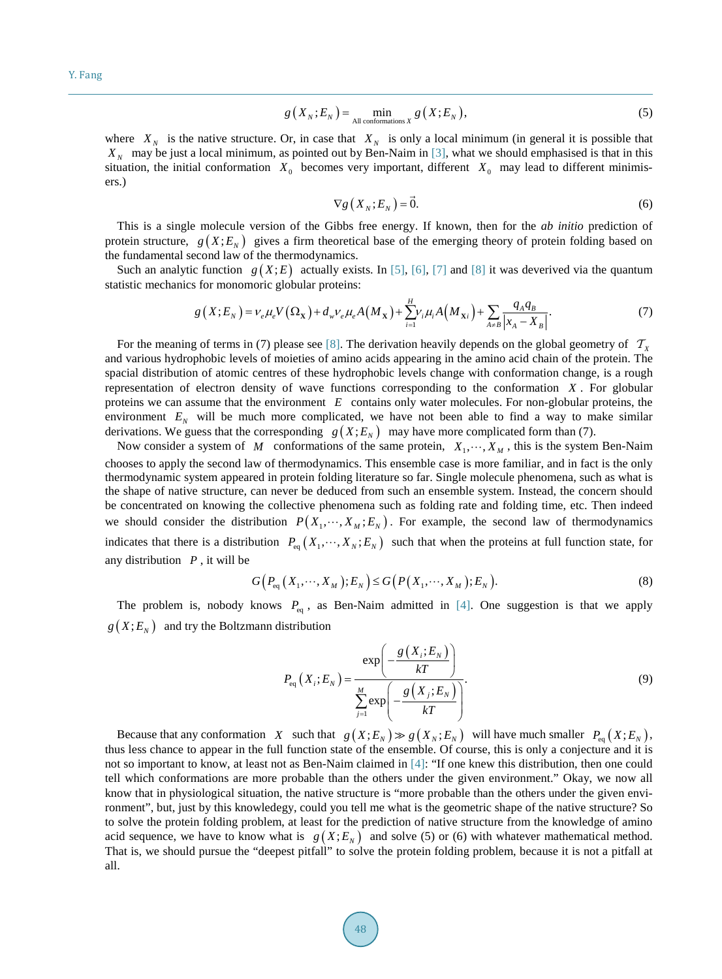$$
g\left(X_{N};E_{N}\right)=\min_{\text{All conformations }X}g\left(X;E_{N}\right),\tag{5}
$$

where  $X_N$  is the native structure. Or, in case that  $X_N$  is only a local minimum (in general it is possible that *X<sub>N</sub>* may be just a local minimum, as pointed out by Ben-Naim in [\[3\],](#page-4-2) what we should emphasised is that in this situation, the initial conformation  $X_0$  becomes very important, different  $X_0$  may lead to different minimisers.)

$$
\nabla g\left(X_{N};E_{N}\right)=\vec{0}.\tag{6}
$$

This is a single molecule version of the Gibbs free energy. If known, then for the *ab initio* prediction of protein structure,  $g(X; E<sub>N</sub>)$  gives a firm theoretical base of the emerging theory of protein folding based on the fundamental second law of the thermodynamics.

Such an analytic function  $g(X; E)$  actually exists. In [\[5\],](#page-4-4) [\[6\],](#page-4-5) [\[7\]](#page-4-6) and [\[8\]](#page-4-7) it was deverived via the quantum statistic mechanics for monomoric globular proteins:

$$
g(X;E_N) = \nu_e \mu_e V(\Omega_{\mathbf{X}}) + d_w \nu_e \mu_e A(M_{\mathbf{X}}) + \sum_{i=1}^{H} \nu_i \mu_i A(M_{\mathbf{X}i}) + \sum_{A \neq B} \frac{q_A q_B}{|x_A - X_B|}.
$$
 (7)

For the meaning of terms in (7) please see [\[8\].](#page-4-7) The derivation heavily depends on the global geometry of  $T_x$ and various hydrophobic levels of moieties of amino acids appearing in the amino acid chain of the protein. The spacial distribution of atomic centres of these hydrophobic levels change with conformation change, is a rough representation of electron density of wave functions corresponding to the conformation *X* . For globular proteins we can assume that the environment *E* contains only water molecules. For non-globular proteins, the environment  $E_N$  will be much more complicated, we have not been able to find a way to make similar derivations. We guess that the corresponding  $g(X; E_N)$  may have more complicated form than (7).

Now consider a system of *M* conformations of the same protein,  $X_1, \dots, X_M$ , this is the system Ben-Naim chooses to apply the second law of thermodynamics. This ensemble case is more familiar, and in fact is the only thermodynamic system appeared in protein folding literature so far. Single molecule phenomena, such as what is the shape of native structure, can never be deduced from such an ensemble system. Instead, the concern should be concentrated on knowing the collective phenomena such as folding rate and folding time, etc. Then indeed we should consider the distribution  $P(X_1, \dots, X_M; E_N)$ . For example, the second law of thermodynamics indicates that there is a distribution  $P_{eq}(X_1, \dots, X_N; E_N)$  such that when the proteins at full function state, for any distribution *P* , it will be

$$
G\left(P_{\text{eq}}\left(X_1,\cdots,X_M\right);E_N\right)\leq G\left(P\left(X_1,\cdots,X_M\right);E_N\right). \tag{8}
$$

The problem is, nobody knows  $P_{\text{eq}}$ , as Ben-Naim admitted in [\[4\].](#page-4-3) One suggestion is that we apply  $g(X; E_N)$  and try the Boltzmann distribution

$$
P_{\text{eq}}\left(X_{i};E_{N}\right) = \frac{\exp\left(-\frac{g\left(X_{i};E_{N}\right)}{kT}\right)}{\sum_{j=1}^{M}\exp\left(-\frac{g\left(X_{j};E_{N}\right)}{kT}\right)}.
$$
\n(9)

Because that any conformation *X* such that  $g(X; E_N) \gg g(X_N; E_N)$  will have much smaller  $P_{eq}(X; E_N)$ , thus less chance to appear in the full function state of the ensemble. Of course, this is only a conjecture and it is not so important to know, at least not as Ben-Naim claimed in [\[4\]:](#page-4-3) "If one knew this distribution, then one could tell which conformations are more probable than the others under the given environment." Okay, we now all know that in physiological situation, the native structure is "more probable than the others under the given environment", but, just by this knowledegy, could you tell me what is the geometric shape of the native structure? So to solve the protein folding problem, at least for the prediction of native structure from the knowledge of amino acid sequence, we have to know what is  $g(X; E_N)$  and solve (5) or (6) with whatever mathematical method. That is, we should pursue the "deepest pitfall" to solve the protein folding problem, because it is not a pitfall at all.